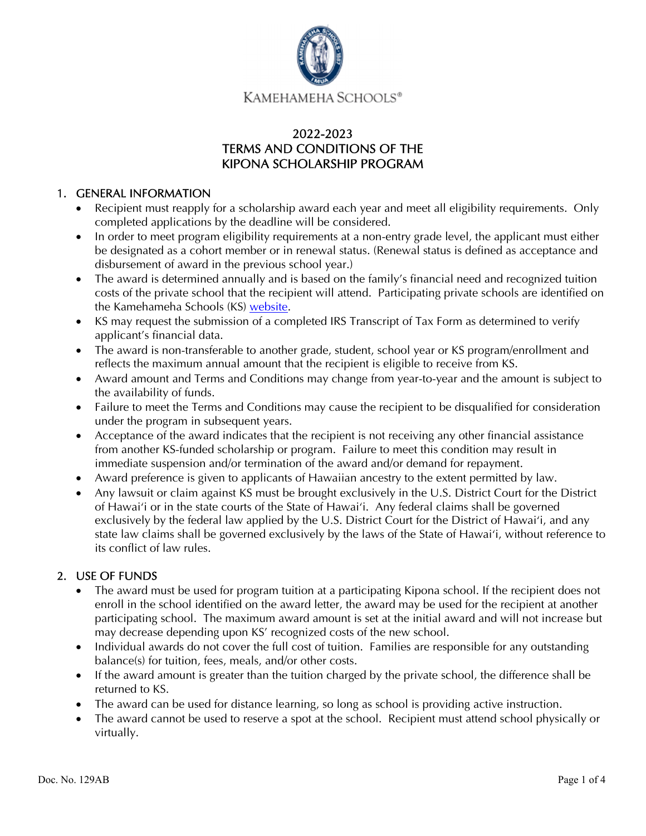

# 2022-2023 TERMS AND CONDITIONS OF THE KIPONA SCHOLARSHIP PROGRAM

#### 1. GENERAL INFORMATION

- Recipient must reapply for a scholarship award each year and meet all eligibility requirements. Only completed applications by the deadline will be considered.
- In order to meet program eligibility requirements at a non-entry grade level, the applicant must either be designated as a cohort member or in renewal status. (Renewal status is defined as acceptance and disbursement of award in the previous school year.)
- The award is determined annually and is based on the family's financial need and recognized tuition costs of the private school that the recipient will attend. Participating private schools are identified on the Kamehameha Schools (KS) [website.](https://www.ksbe.edu/apply/financial_aid/kipona/)
- KS may request the submission of a completed IRS Transcript of Tax Form as determined to verify applicant's financial data.
- The award is non-transferable to another grade, student, school year or KS program/enrollment and reflects the maximum annual amount that the recipient is eligible to receive from KS.
- Award amount and Terms and Conditions may change from year-to-year and the amount is subject to the availability of funds.
- Failure to meet the Terms and Conditions may cause the recipient to be disqualified for consideration under the program in subsequent years.
- Acceptance of the award indicates that the recipient is not receiving any other financial assistance from another KS-funded scholarship or program. Failure to meet this condition may result in immediate suspension and/or termination of the award and/or demand for repayment.
- Award preference is given to applicants of Hawaiian ancestry to the extent permitted by law.
- Any lawsuit or claim against KS must be brought exclusively in the U.S. District Court for the District of Hawai'i or in the state courts of the State of Hawaiʻi. Any federal claims shall be governed exclusively by the federal law applied by the U.S. District Court for the District of Hawai'i, and any state law claims shall be governed exclusively by the laws of the State of Hawaiʻi, without reference to its conflict of law rules.

## 2. USE OF FUNDS

- The award must be used for program tuition at a participating Kipona school. If the recipient does not enroll in the school identified on the award letter, the award may be used for the recipient at another participating school. The maximum award amount is set at the initial award and will not increase but may decrease depending upon KS' recognized costs of the new school.
- Individual awards do not cover the full cost of tuition. Families are responsible for any outstanding balance(s) for tuition, fees, meals, and/or other costs.
- If the award amount is greater than the tuition charged by the private school, the difference shall be returned to KS.
- The award can be used for distance learning, so long as school is providing active instruction.
- The award cannot be used to reserve a spot at the school. Recipient must attend school physically or virtually.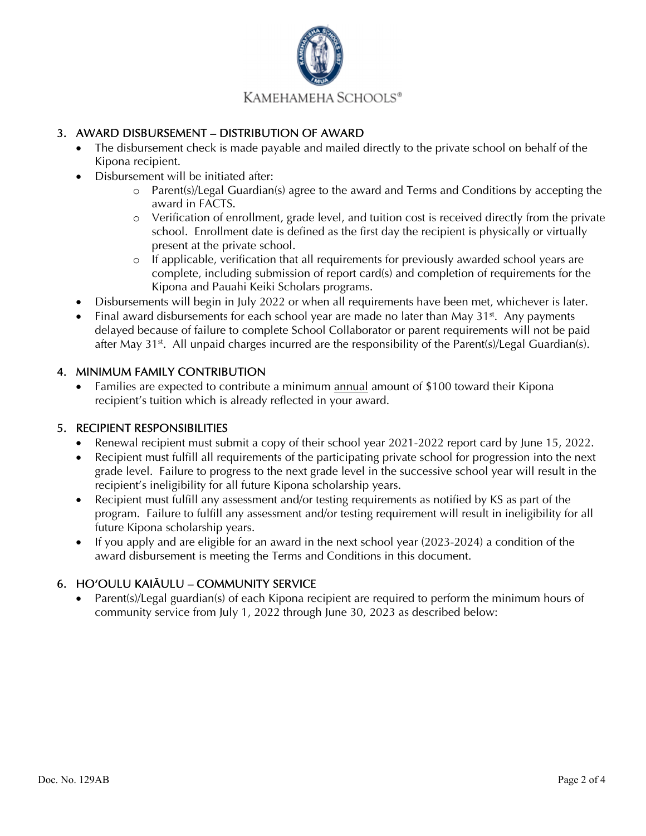

## 3. AWARD DISBURSEMENT – DISTRIBUTION OF AWARD

- The disbursement check is made payable and mailed directly to the private school on behalf of the Kipona recipient.
- Disbursement will be initiated after:
	- o Parent(s)/Legal Guardian(s) agree to the award and Terms and Conditions by accepting the award in FACTS.
	- o Verification of enrollment, grade level, and tuition cost is received directly from the private school. Enrollment date is defined as the first day the recipient is physically or virtually present at the private school.
	- o If applicable, verification that all requirements for previously awarded school years are complete, including submission of report card(s) and completion of requirements for the Kipona and Pauahi Keiki Scholars programs.
- Disbursements will begin in July 2022 or when all requirements have been met, whichever is later.
- Final award disbursements for each school year are made no later than May  $31<sup>st</sup>$ . Any payments delayed because of failure to complete School Collaborator or parent requirements will not be paid after May  $31^{st}$ . All unpaid charges incurred are the responsibility of the Parent(s)/Legal Guardian(s).

## 4. MINIMUM FAMILY CONTRIBUTION

 Families are expected to contribute a minimum annual amount of \$100 toward their Kipona recipient's tuition which is already reflected in your award.

## 5. RECIPIENT RESPONSIBILITIES

- Renewal recipient must submit a copy of their school year 2021-2022 report card by June 15, 2022.
- Recipient must fulfill all requirements of the participating private school for progression into the next grade level. Failure to progress to the next grade level in the successive school year will result in the recipient's ineligibility for all future Kipona scholarship years.
- Recipient must fulfill any assessment and/or testing requirements as notified by KS as part of the program. Failure to fulfill any assessment and/or testing requirement will result in ineligibility for all future Kipona scholarship years.
- $\bullet$  If you apply and are eligible for an award in the next school year (2023-2024) a condition of the award disbursement is meeting the Terms and Conditions in this document.

## 6. HOʻOULU KAIĀULU – COMMUNITY SERVICE

 Parent(s)/Legal guardian(s) of each Kipona recipient are required to perform the minimum hours of community service from July 1, 2022 through June 30, 2023 as described below: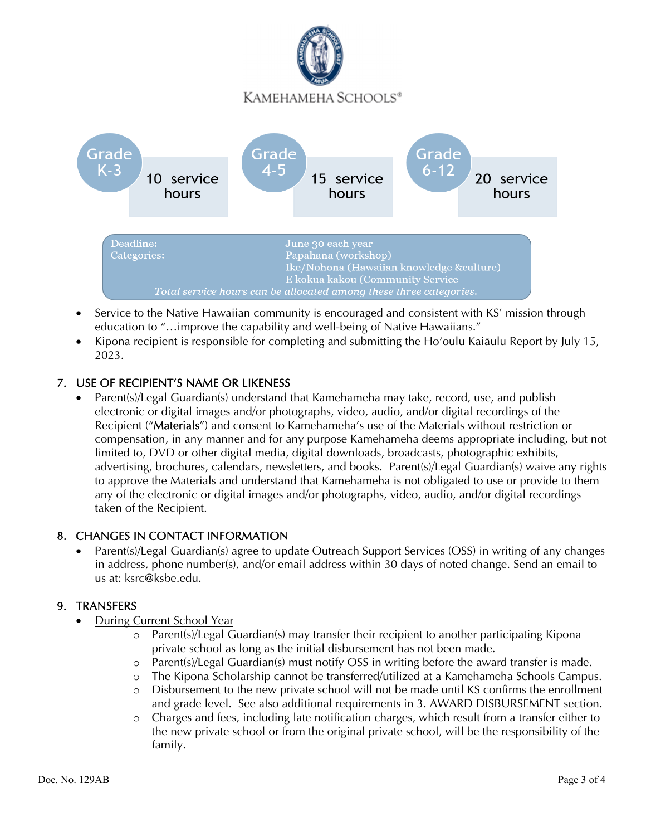

- Service to the Native Hawaiian community is encouraged and consistent with KS' mission through education to "...improve the capability and well-being of Native Hawaiians."
- Kipona recipient is responsible for completing and submitting the Hoʻoulu Kaiāulu Report by July 15, 2023.

# 7. USE OF RECIPIENT'S NAME OR LIKENESS

• Parent(s)/Legal Guardian(s) understand that Kamehameha may take, record, use, and publish electronic or digital images and/or photographs, video, audio, and/or digital recordings of the Recipient ("Materials") and consent to Kamehameha's use of the Materials without restriction or compensation, in any manner and for any purpose Kamehameha deems appropriate including, but not limited to, DVD or other digital media, digital downloads, broadcasts, photographic exhibits, advertising, brochures, calendars, newsletters, and books. Parent(s)/Legal Guardian(s) waive any rights to approve the Materials and understand that Kamehameha is not obligated to use or provide to them any of the electronic or digital images and/or photographs, video, audio, and/or digital recordings taken of the Recipient.

## 8. CHANGES IN CONTACT INFORMATION

 Parent(s)/Legal Guardian(s) agree to update Outreach Support Services (OSS) in writing of any changes in address, phone number(s), and/or email address within 30 days of noted change. Send an email to us at: ksrc@ksbe.edu.

#### 9. TRANSFERS

- During Current School Year
	- o Parent(s)/Legal Guardian(s) may transfer their recipient to another participating Kipona private school as long as the initial disbursement has not been made.
	- o Parent(s)/Legal Guardian(s) must notify OSS in writing before the award transfer is made.
	- o The Kipona Scholarship cannot be transferred/utilized at a Kamehameha Schools Campus.
	- o Disbursement to the new private school will not be made until KS confirms the enrollment and grade level. See also additional requirements in 3. AWARD DISBURSEMENT section.
	- o Charges and fees, including late notification charges, which result from a transfer either to the new private school or from the original private school, will be the responsibility of the family.